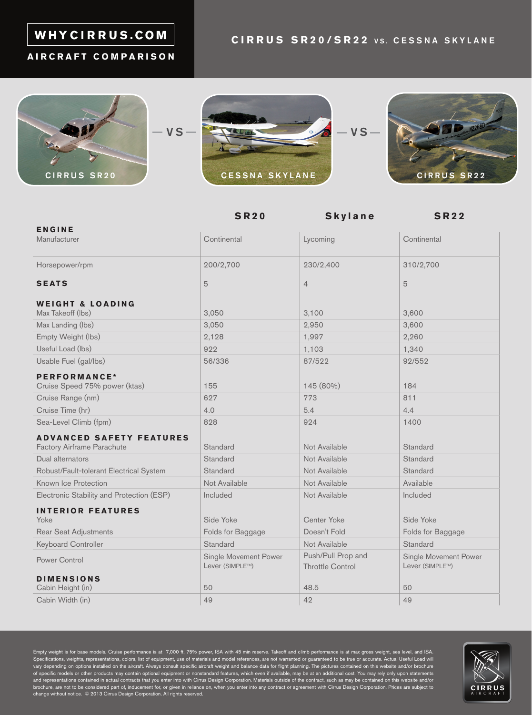## WHYCIRRUS.COM

#### **AIRCRAFT COMPARISON**



**E N G I N E** 





**SR20 Skylane SR22**

| ENGINE<br>Manufacturer                           | Continental                              | Lycoming                                      | Continental                              |
|--------------------------------------------------|------------------------------------------|-----------------------------------------------|------------------------------------------|
| Horsepower/rpm                                   | 200/2,700                                | 230/2,400                                     | 310/2,700                                |
| <b>SEATS</b>                                     | 5                                        | $\overline{4}$                                | 5                                        |
| <b>WEIGHT &amp; LOADING</b><br>Max Takeoff (lbs) | 3,050                                    | 3,100                                         | 3,600                                    |
| Max Landing (lbs)                                | 3,050                                    | 2,950                                         | 3,600                                    |
| Empty Weight (lbs)                               | 2,128                                    | 1,997                                         | 2,260                                    |
| Useful Load (lbs)                                | 922                                      | 1,103                                         | 1,340                                    |
| Usable Fuel (gal/lbs)                            | 56/336                                   | 87/522                                        | 92/552                                   |
| PERFORMANCE*                                     |                                          |                                               |                                          |
| Cruise Speed 75% power (ktas)                    | 155                                      | 145 (80%)                                     | 184                                      |
| Cruise Range (nm)                                | 627                                      | 773                                           | 811                                      |
| Cruise Time (hr)                                 | 4.0                                      | 5.4                                           | 4.4                                      |
| Sea-Level Climb (fpm)                            | 828                                      | 924                                           | 1400                                     |
| <b>ADVANCED SAFETY FEATURES</b>                  |                                          |                                               |                                          |
| <b>Factory Airframe Parachute</b>                | Standard                                 | Not Available                                 | Standard                                 |
| Dual alternators                                 | Standard                                 | Not Available                                 | Standard                                 |
| Robust/Fault-tolerant Electrical System          | Standard                                 | Not Available                                 | Standard                                 |
| Known Ice Protection                             | Not Available                            | Not Available                                 | Available                                |
| Electronic Stability and Protection (ESP)        | Included                                 | Not Available                                 | Included                                 |
| <b>INTERIOR FEATURES</b>                         |                                          |                                               |                                          |
| Yoke                                             | Side Yoke                                | Center Yoke                                   | Side Yoke                                |
| Rear Seat Adjustments                            | Folds for Baggage                        | Doesn't Fold                                  | Folds for Baggage                        |
| Keyboard Controller                              | Standard                                 | Not Available                                 | Standard                                 |
| Power Control                                    | Single Movement Power<br>Lever (SIMPLE™) | Push/Pull Prop and<br><b>Throttle Control</b> | Single Movement Power<br>Lever (SIMPLE™) |
| <b>DIMENSIONS</b><br>Cabin Height (in)           | 50                                       | 48.5                                          | 50                                       |
| Cabin Width (in)                                 | 49                                       | 42                                            | 49                                       |

Empty weight is for base models. Cruise performance is at 7,000 ft, 75% power, ISA with 45 min reserve. Takeoff and climb performance is at max gross weight, sea level, and ISA.<br>Specifications, weights, representations, co